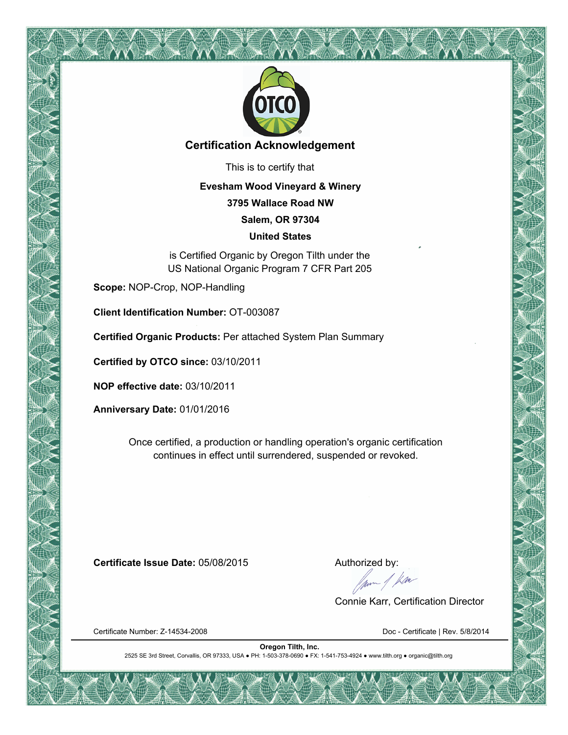

# **Certification Acknowledgement**

This is to certify that

### **Evesham Wood Vineyard & Winery**

**3795 Wallace Road NW**

**Salem, OR 97304**

#### **United States**

is Certified Organic by Oregon Tilth under the US National Organic Program 7 CFR Part 205

**Scope:** NOP-Crop, NOP-Handling

**Client Identification Number:** OT-003087

**Certified Organic Products:** Per attached System Plan Summary

**Certified by OTCO since:** 03/10/2011

**NOP effective date:** 03/10/2011

**Anniversary Date:** 01/01/2016

Once certified, a production or handling operation's organic certification continues in effect until surrendered, suspended or revoked.

**Certificate Issue Date: 05/08/2015** Authorized by:

from 1 km

Connie Karr, Certification Director

Certificate Number: Z-14534-2008 Certificate | Rev. 5/8/2014

**Oregon Tilth, Inc.** 2525 SE 3rd Street, Corvallis, OR 97333, USA ● PH: 1-503-378-0690 ● FX: 1-541-753-4924 ● www.tilth.org ● organic@tilth.org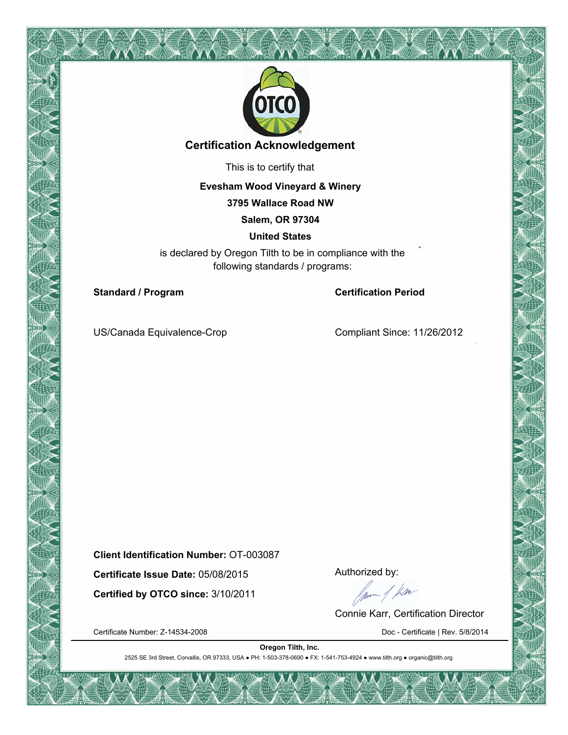

# **Certification Acknowledgement**

This is to certify that

**Evesham Wood Vineyard & Winery**

**3795 Wallace Road NW**

**Salem, OR 97304**

**United States**

is declared by Oregon Tilth to be in compliance with the following standards / programs:

**Standard / Program Certification Period** 

US/Canada Equivalence-Crop Compliant Since: 11/26/2012

**Client Identification Number:** OT-003087

**Certified by OTCO since:** 3/10/2011

**Certificate Issue Date:** 05/08/2015 Authorized by:<br> **Certified by OTCO since:** 3/10/2011 Authorized by:

Connie Karr, Certification Director

Certificate Number: Z-14534-2008 Doc - Certificate | Rev. 5/8/2014

2525 SE 3rd Street, Corvallis, OR 97333, USA ● PH: 1-503-378-0690 ● FX: 1-541-753-4924 ● www.tilth.org ● organic@tilth.org **Oregon Tilth, Inc.**